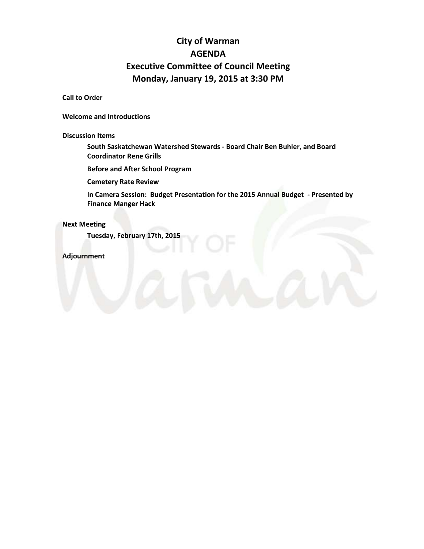# **City of Warman AGENDA Executive Committee of Council Meeting Monday, January 19, 2015 at 3:30 PM**

## **Call to Order**

**Welcome and Introductions**

**Discussion Items** 

**South Saskatchewan Watershed Stewards - Board Chair Ben Buhler, and Board Coordinator Rene Grills**

**Before and After School Program**

**Cemetery Rate Review**

**In Camera Session: Budget Presentation for the 2015 Annual Budget - Presented by Finance Manger Hack**

## **Next Meeting**

**Tuesday, February 17th, 2015**

**Adjournment**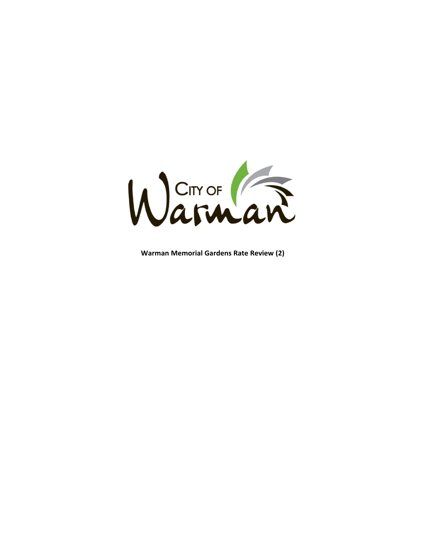

**Warman Memorial Gardens Rate Review (2)**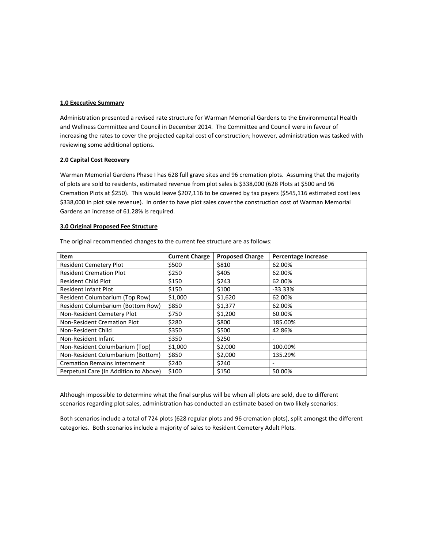#### **1.0 Executive Summary**

Administration presented a revised rate structure for Warman Memorial Gardens to the Environmental Health and Wellness Committee and Council in December 2014. The Committee and Council were in favour of increasing the rates to cover the projected capital cost of construction; however, administration was tasked with reviewing some additional options.

#### **2.0 Capital Cost Recovery**

Warman Memorial Gardens Phase I has 628 full grave sites and 96 cremation plots. Assuming that the majority of plots are sold to residents, estimated revenue from plot sales is \$338,000 (628 Plots at \$500 and 96 Cremation Plots at \$250). This would leave \$207,116 to be covered by tax payers (\$545,116 estimated cost less \$338,000 in plot sale revenue). In order to have plot sales cover the construction cost of Warman Memorial Gardens an increase of 61.28% is required.

#### **3.0 Original Proposed Fee Structure**

| Item                                     | <b>Current Charge</b> | <b>Proposed Charge</b> | <b>Percentage Increase</b> |
|------------------------------------------|-----------------------|------------------------|----------------------------|
| <b>Resident Cemetery Plot</b>            | \$500                 | \$810                  | 62.00%                     |
| <b>Resident Cremation Plot</b>           | \$250                 | \$405                  | 62.00%                     |
| Resident Child Plot                      | \$150                 | \$243                  | 62.00%                     |
| <b>Resident Infant Plot</b>              | \$150                 | \$100                  | $-33.33%$                  |
| Resident Columbarium (Top Row)           | \$1,000               | \$1,620                | 62.00%                     |
| <b>Resident Columbarium (Bottom Row)</b> | \$850                 | \$1,377                | 62.00%                     |
| Non-Resident Cemetery Plot               | \$750                 | \$1,200                | 60.00%                     |
| Non-Resident Cremation Plot              | \$280                 | \$800                  | 185.00%                    |
| Non-Resident Child                       | \$350                 | \$500                  | 42.86%                     |
| Non-Resident Infant                      | \$350                 | \$250                  |                            |
| Non-Resident Columbarium (Top)           | \$1,000               | \$2,000                | 100.00%                    |
| Non-Resident Columbarium (Bottom)        | \$850                 | \$2,000                | 135.29%                    |
| <b>Cremation Remains Internment</b>      | \$240                 | \$240                  | -                          |
| Perpetual Care (In Addition to Above)    | \$100                 | \$150                  | 50.00%                     |

The original recommended changes to the current fee structure are as follows:

Although impossible to determine what the final surplus will be when all plots are sold, due to different scenarios regarding plot sales, administration has conducted an estimate based on two likely scenarios:

Both scenarios include a total of 724 plots (628 regular plots and 96 cremation plots), split amongst the different categories. Both scenarios include a majority of sales to Resident Cemetery Adult Plots.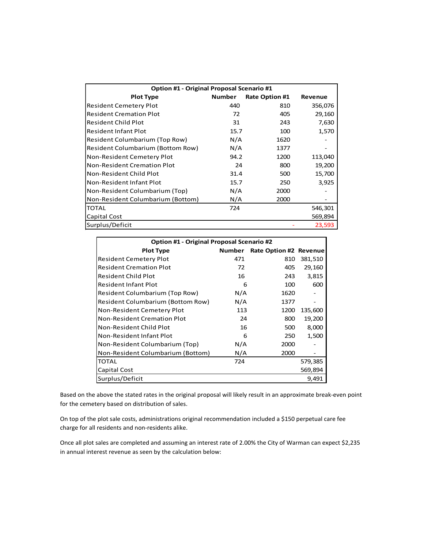| Option #1 - Original Proposal Scenario #1 |               |                       |         |  |
|-------------------------------------------|---------------|-----------------------|---------|--|
| <b>Plot Type</b>                          | <b>Number</b> | <b>Rate Option #1</b> | Revenue |  |
| <b>Resident Cemetery Plot</b>             | 440           | 810                   | 356,076 |  |
| <b>Resident Cremation Plot</b>            | 72            | 405                   | 29,160  |  |
| Resident Child Plot                       | 31            | 243                   | 7,630   |  |
| <b>Resident Infant Plot</b>               | 15.7          | 100                   | 1,570   |  |
| Resident Columbarium (Top Row)            | N/A           | 1620                  |         |  |
| Resident Columbarium (Bottom Row)         | N/A           | 1377                  |         |  |
| Non-Resident Cemetery Plot                | 94.2          | 1200                  | 113,040 |  |
| Non-Resident Cremation Plot               | 24            | 800                   | 19,200  |  |
| Non-Resident Child Plot                   | 31.4          | 500                   | 15,700  |  |
| Non-Resident Infant Plot                  | 15.7          | 250                   | 3,925   |  |
| Non-Resident Columbarium (Top)            | N/A           | 2000                  |         |  |
| Non-Resident Columbarium (Bottom)         | N/A           | 2000                  |         |  |
| <b>TOTAL</b>                              | 724           |                       | 546,301 |  |
| Capital Cost                              |               |                       | 569,894 |  |
| Surplus/Deficit                           |               |                       | 23,593  |  |

| Option #1 - Original Proposal Scenario #2 |        |                        |         |
|-------------------------------------------|--------|------------------------|---------|
| <b>Plot Type</b>                          | Number | Rate Option #2 Revenue |         |
| <b>Resident Cemetery Plot</b>             | 471    | 810                    | 381,510 |
| <b>Resident Cremation Plot</b>            | 72     | 405                    | 29,160  |
| Resident Child Plot                       | 16     | 243                    | 3,815   |
| <b>Resident Infant Plot</b>               | 6      | 100                    | 600     |
| Resident Columbarium (Top Row)            | N/A    | 1620                   |         |
| <b>Resident Columbarium (Bottom Row)</b>  | N/A    | 1377                   |         |
| Non-Resident Cemetery Plot                | 113    | 1200                   | 135,600 |
| Non-Resident Cremation Plot               | 24     | 800                    | 19,200  |
| Non-Resident Child Plot                   | 16     | 500                    | 8,000   |
| Non-Resident Infant Plot                  | 6      | 250                    | 1,500   |
| Non-Resident Columbarium (Top)            | N/A    | 2000                   |         |
| Non-Resident Columbarium (Bottom)         | N/A    | 2000                   |         |
| TOTAL                                     | 724    |                        | 579,385 |
| Capital Cost                              |        |                        | 569,894 |
| Surplus/Deficit                           |        |                        | 9,491   |

Based on the above the stated rates in the original proposal will likely result in an approximate break-even point for the cemetery based on distribution of sales.

On top of the plot sale costs, administrations original recommendation included a \$150 perpetual care fee charge for all residents and non-residents alike.

Once all plot sales are completed and assuming an interest rate of 2.00% the City of Warman can expect \$2,235 in annual interest revenue as seen by the calculation below: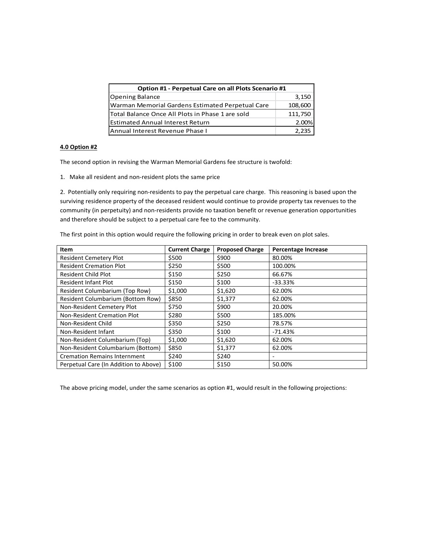| Option #1 - Perpetual Care on all Plots Scenario #1 |         |  |
|-----------------------------------------------------|---------|--|
| <b>Opening Balance</b>                              | 3,150   |  |
| Warman Memorial Gardens Estimated Perpetual Care    | 108,600 |  |
| lTotal Balance Once All Plots in Phase 1 are sold   | 111,750 |  |
| <b>Estimated Annual Interest Return</b>             | 2.00%   |  |
| Annual Interest Revenue Phase I                     | 2.235   |  |

#### **4.0 Option #2**

The second option in revising the Warman Memorial Gardens fee structure is twofold:

1. Make all resident and non-resident plots the same price

2. Potentially only requiring non-residents to pay the perpetual care charge. This reasoning is based upon the surviving residence property of the deceased resident would continue to provide property tax revenues to the community (in perpetuity) and non-residents provide no taxation benefit or revenue generation opportunities and therefore should be subject to a perpetual care fee to the community.

The first point in this option would require the following pricing in order to break even on plot sales.

| Item                                     | <b>Current Charge</b> | <b>Proposed Charge</b> | Percentage Increase |
|------------------------------------------|-----------------------|------------------------|---------------------|
| <b>Resident Cemetery Plot</b>            | \$500                 | \$900                  | 80.00%              |
| <b>Resident Cremation Plot</b>           | \$250                 | \$500                  | 100.00%             |
| <b>Resident Child Plot</b>               | \$150                 | \$250                  | 66.67%              |
| <b>Resident Infant Plot</b>              | \$150                 | \$100                  | $-33.33%$           |
| Resident Columbarium (Top Row)           | \$1,000               | \$1,620                | 62.00%              |
| <b>Resident Columbarium (Bottom Row)</b> | \$850                 | \$1,377                | 62.00%              |
| Non-Resident Cemetery Plot               | \$750                 | \$900                  | 20.00%              |
| Non-Resident Cremation Plot              | \$280                 | \$500                  | 185.00%             |
| Non-Resident Child                       | \$350                 | \$250                  | 78.57%              |
| Non-Resident Infant                      | \$350                 | \$100                  | $-71.43%$           |
| Non-Resident Columbarium (Top)           | \$1,000               | \$1,620                | 62.00%              |
| Non-Resident Columbarium (Bottom)        | \$850                 | \$1,377                | 62.00%              |
| <b>Cremation Remains Internment</b>      | \$240                 | \$240                  | -                   |
| Perpetual Care (In Addition to Above)    | \$100                 | \$150                  | 50.00%              |

The above pricing model, under the same scenarios as option #1, would result in the following projections: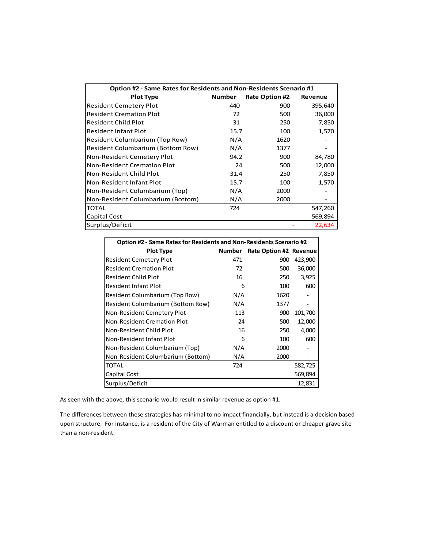| Option #2 - Same Rates for Residents and Non-Residents Scenario #1 |               |                       |         |
|--------------------------------------------------------------------|---------------|-----------------------|---------|
| <b>Plot Type</b>                                                   | <b>Number</b> | <b>Rate Option #2</b> | Revenue |
| <b>Resident Cemetery Plot</b>                                      | 440           | 900                   | 395,640 |
| <b>Resident Cremation Plot</b>                                     | 72            | 500                   | 36,000  |
| <b>Resident Child Plot</b>                                         | 31            | 250                   | 7,850   |
| <b>Resident Infant Plot</b>                                        | 15.7          | 100                   | 1,570   |
| Resident Columbarium (Top Row)                                     | N/A           | 1620                  |         |
| Resident Columbarium (Bottom Row)                                  | N/A           | 1377                  |         |
| Non-Resident Cemetery Plot                                         | 94.2          | 900                   | 84,780  |
| Non-Resident Cremation Plot                                        | 24            | 500                   | 12,000  |
| Non-Resident Child Plot                                            | 31.4          | 250                   | 7,850   |
| Non-Resident Infant Plot                                           | 15.7          | 100                   | 1,570   |
| Non-Resident Columbarium (Top)                                     | N/A           | 2000                  |         |
| Non-Resident Columbarium (Bottom)                                  | N/A           | 2000                  |         |
| <b>TOTAL</b>                                                       | 724           |                       | 547,260 |
| Capital Cost                                                       |               |                       | 569,894 |
| Surplus/Deficit                                                    |               |                       | 22,634  |

| Option #2 - Same Rates for Residents and Non-Residents Scenario #2 |        |                        |         |
|--------------------------------------------------------------------|--------|------------------------|---------|
| <b>Plot Type</b>                                                   | Number | Rate Option #2 Revenue |         |
| Resident Cemetery Plot                                             | 471    | 900                    | 423,900 |
| <b>Resident Cremation Plot</b>                                     | 72     | 500                    | 36,000  |
| <b>Resident Child Plot</b>                                         | 16     | 250                    | 3,925   |
| <b>Resident Infant Plot</b>                                        | 6      | 100                    | 600     |
| Resident Columbarium (Top Row)                                     | N/A    | 1620                   |         |
| Resident Columbarium (Bottom Row)                                  | N/A    | 1377                   |         |
| Non-Resident Cemetery Plot                                         | 113    | 900                    | 101,700 |
| Non-Resident Cremation Plot                                        | 24     | 500                    | 12,000  |
| Non-Resident Child Plot                                            | 16     | 250                    | 4,000   |
| Non-Resident Infant Plot                                           | 6      | 100                    | 600     |
| Non-Resident Columbarium (Top)                                     | N/A    | 2000                   |         |
| Non-Resident Columbarium (Bottom)                                  | N/A    | 2000                   |         |
| <b>TOTAL</b>                                                       | 724    |                        | 582,725 |
| Capital Cost                                                       |        |                        | 569,894 |
| Surplus/Deficit                                                    |        |                        | 12,831  |

As seen with the above, this scenario would result in similar revenue as option #1.

The differences between these strategies has minimal to no impact financially, but instead is a decision based upon structure. For instance, is a resident of the City of Warman entitled to a discount or cheaper grave site than a non-resident.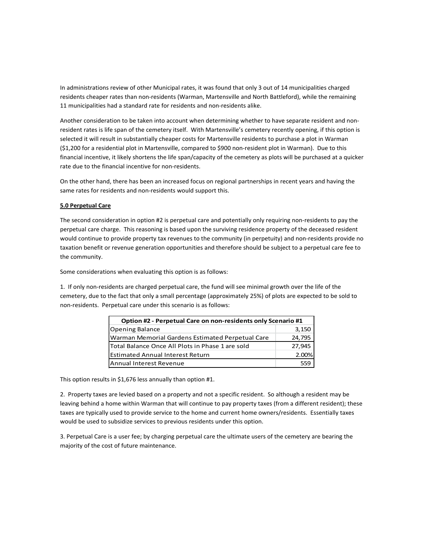In administrations review of other Municipal rates, it was found that only 3 out of 14 municipalities charged residents cheaper rates than non-residents (Warman, Martensville and North Battleford), while the remaining 11 municipalities had a standard rate for residents and non-residents alike.

Another consideration to be taken into account when determining whether to have separate resident and nonresident rates is life span of the cemetery itself. With Martensville's cemetery recently opening, if this option is selected it will result in substantially cheaper costs for Martensville residents to purchase a plot in Warman (\$1,200 for a residential plot in Martensville, compared to \$900 non-resident plot in Warman). Due to this financial incentive, it likely shortens the life span/capacity of the cemetery as plots will be purchased at a quicker rate due to the financial incentive for non-residents.

On the other hand, there has been an increased focus on regional partnerships in recent years and having the same rates for residents and non-residents would support this.

#### **5.0 Perpetual Care**

The second consideration in option #2 is perpetual care and potentially only requiring non-residents to pay the perpetual care charge. This reasoning is based upon the surviving residence property of the deceased resident would continue to provide property tax revenues to the community (in perpetuity) and non-residents provide no taxation benefit or revenue generation opportunities and therefore should be subject to a perpetual care fee to the community.

Some considerations when evaluating this option is as follows:

1. If only non-residents are charged perpetual care, the fund will see minimal growth over the life of the cemetery, due to the fact that only a small percentage (approximately 25%) of plots are expected to be sold to non-residents. Perpetual care under this scenario is as follows:

| Option #2 - Perpetual Care on non-residents only Scenario #1 |        |  |
|--------------------------------------------------------------|--------|--|
| <b>Opening Balance</b>                                       | 3,150  |  |
| Warman Memorial Gardens Estimated Perpetual Care             | 24,795 |  |
| lTotal Balance Once All Plots in Phase 1 are sold            | 27,945 |  |
| <b>Estimated Annual Interest Return</b>                      | 2.00%  |  |
| Annual Interest Revenue                                      |        |  |

This option results in \$1,676 less annually than option #1.

2. Property taxes are levied based on a property and not a specific resident. So although a resident may be leaving behind a home within Warman that will continue to pay property taxes (from a different resident); these taxes are typically used to provide service to the home and current home owners/residents. Essentially taxes would be used to subsidize services to previous residents under this option.

3. Perpetual Care is a user fee; by charging perpetual care the ultimate users of the cemetery are bearing the majority of the cost of future maintenance.